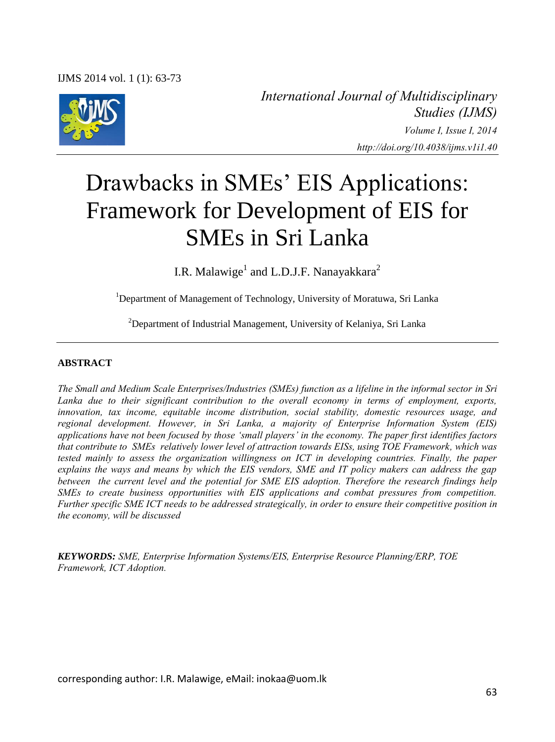

*International Journal of Multidisciplinary Studies (IJMS) Volume I, Issue I, 2014 http://doi.org/10.4038/ijms.v1i1.40* 

# Drawbacks in SMEs' EIS Applications: Framework for Development of EIS for SMEs in Sri Lanka

I.R. Malawige<sup>1</sup> and L.D.J.F. Nanayakkara<sup>2</sup>

<sup>1</sup>Department of Management of Technology, University of Moratuwa, Sri Lanka

<sup>2</sup>Department of Industrial Management, University of Kelaniya, Sri Lanka

#### **ABSTRACT**

*The Small and Medium Scale Enterprises/Industries (SMEs) function as a lifeline in the informal sector in Sri*  Lanka due to their significant contribution to the overall economy in terms of employment, exports, *innovation, tax income, equitable income distribution, social stability, domestic resources usage, and regional development. However, in Sri Lanka, a majority of Enterprise Information System (EIS) applications have not been focused by those 'small players' in the economy. The paper first identifies factors that contribute to SMEs relatively lower level of attraction towards EISs, using TOE Framework, which was tested mainly to assess the organization willingness on ICT in developing countries. Finally, the paper explains the ways and means by which the EIS vendors, SME and IT policy makers can address the gap between the current level and the potential for SME EIS adoption. Therefore the research findings help SMEs to create business opportunities with EIS applications and combat pressures from competition. Further specific SME ICT needs to be addressed strategically, in order to ensure their competitive position in the economy, will be discussed* 

*KEYWORDS: SME, Enterprise Information Systems/EIS, Enterprise Resource Planning/ERP, TOE Framework, ICT Adoption.* 

corresponding author: I.R. Malawige, eMail: inokaa@uom.lk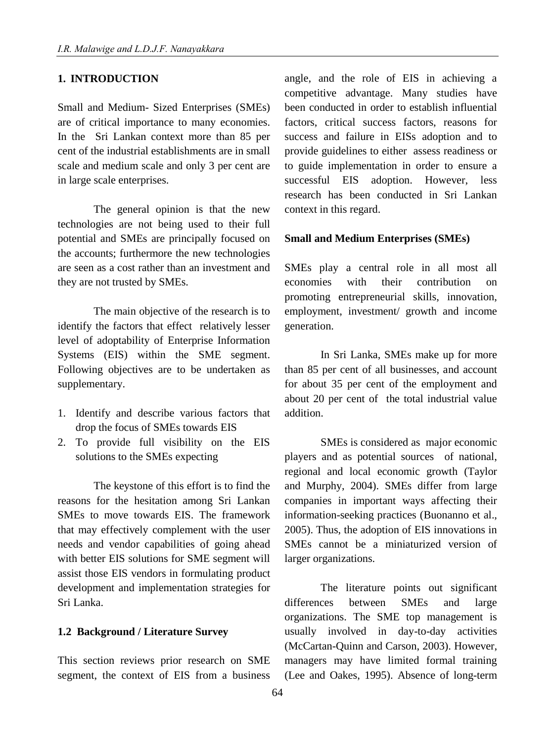#### **1. INTRODUCTION**

Small and Medium- Sized Enterprises (SMEs) are of critical importance to many economies. In the Sri Lankan context more than 85 per cent of the industrial establishments are in small scale and medium scale and only 3 per cent are in large scale enterprises.

The general opinion is that the new technologies are not being used to their full potential and SMEs are principally focused on the accounts; furthermore the new technologies are seen as a cost rather than an investment and they are not trusted by SMEs.

The main objective of the research is to identify the factors that effect relatively lesser level of adoptability of Enterprise Information Systems (EIS) within the SME segment. Following objectives are to be undertaken as supplementary.

- 1. Identify and describe various factors that drop the focus of SMEs towards EIS
- 2. To provide full visibility on the EIS solutions to the SMEs expecting

The keystone of this effort is to find the reasons for the hesitation among Sri Lankan SMEs to move towards EIS. The framework that may effectively complement with the user needs and vendor capabilities of going ahead with better EIS solutions for SME segment will assist those EIS vendors in formulating product development and implementation strategies for Sri Lanka.

#### **1.2 Background / Literature Survey**

This section reviews prior research on SME segment, the context of EIS from a business

angle, and the role of EIS in achieving a competitive advantage. Many studies have been conducted in order to establish influential factors, critical success factors, reasons for success and failure in EISs adoption and to provide guidelines to either assess readiness or to guide implementation in order to ensure a successful EIS adoption. However, less research has been conducted in Sri Lankan context in this regard.

#### **Small and Medium Enterprises (SMEs)**

SMEs play a central role in all most all economies with their contribution on promoting entrepreneurial skills, innovation, employment, investment/ growth and income generation.

In Sri Lanka, SMEs make up for more than 85 per cent of all businesses, and account for about 35 per cent of the employment and about 20 per cent of the total industrial value addition.

SMEs is considered as major economic players and as potential sources of national, regional and local economic growth (Taylor and Murphy, 2004). SMEs differ from large companies in important ways affecting their information-seeking practices (Buonanno et al., 2005). Thus, the adoption of EIS innovations in SMEs cannot be a miniaturized version of larger organizations.

The literature points out significant differences between SMEs and large organizations. The SME top management is usually involved in day-to-day activities (McCartan-Quinn and Carson, 2003). However, managers may have limited formal training (Lee and Oakes, 1995). Absence of long-term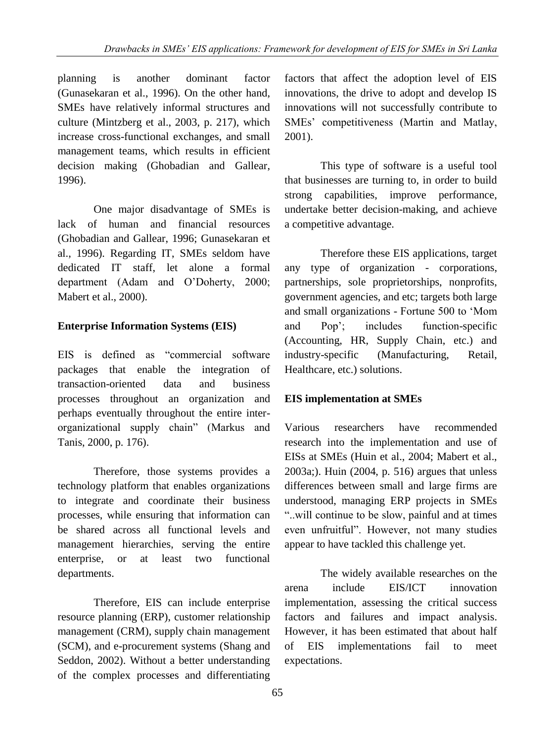planning is another dominant factor (Gunasekaran et al., 1996). On the other hand, SMEs have relatively informal structures and culture (Mintzberg et al., 2003, p. 217), which increase cross-functional exchanges, and small management teams, which results in efficient decision making (Ghobadian and Gallear, 1996).

One major disadvantage of SMEs is lack of human and financial resources (Ghobadian and Gallear, 1996; Gunasekaran et al., 1996). Regarding IT, SMEs seldom have dedicated IT staff, let alone a formal department (Adam and O"Doherty, 2000; Mabert et al., 2000).

# **Enterprise Information Systems (EIS)**

EIS is defined as "commercial software packages that enable the integration of transaction-oriented data and business processes throughout an organization and perhaps eventually throughout the entire interorganizational supply chain" (Markus and Tanis, 2000, p. 176).

Therefore, those systems provides a technology platform that enables organizations to integrate and coordinate their business processes, while ensuring that information can be shared across all functional levels and management hierarchies, serving the entire enterprise, or at least two functional departments.

Therefore, EIS can include enterprise resource planning (ERP), customer relationship management (CRM), supply chain management (SCM), and e-procurement systems (Shang and Seddon, 2002). Without a better understanding of the complex processes and differentiating factors that affect the adoption level of EIS innovations, the drive to adopt and develop IS innovations will not successfully contribute to SMEs" competitiveness (Martin and Matlay, 2001).

This type of software is a useful tool that businesses are turning to, in order to build strong capabilities, improve performance, undertake better decision-making, and achieve a competitive advantage.

Therefore these EIS applications, target any type of organization - corporations, partnerships, sole proprietorships, nonprofits, government agencies, and etc; targets both large and small organizations - Fortune 500 to "Mom and Pop"; includes function-specific (Accounting, HR, Supply Chain, etc.) and industry-specific (Manufacturing, Retail, Healthcare, etc.) solutions.

# **EIS implementation at SMEs**

Various researchers have recommended research into the implementation and use of EISs at SMEs (Huin et al., 2004; Mabert et al., 2003a;). Huin (2004, p. 516) argues that unless differences between small and large firms are understood, managing ERP projects in SMEs "..will continue to be slow, painful and at times even unfruitful". However, not many studies appear to have tackled this challenge yet.

The widely available researches on the arena include EIS/ICT innovation implementation, assessing the critical success factors and failures and impact analysis. However, it has been estimated that about half of EIS implementations fail to meet expectations.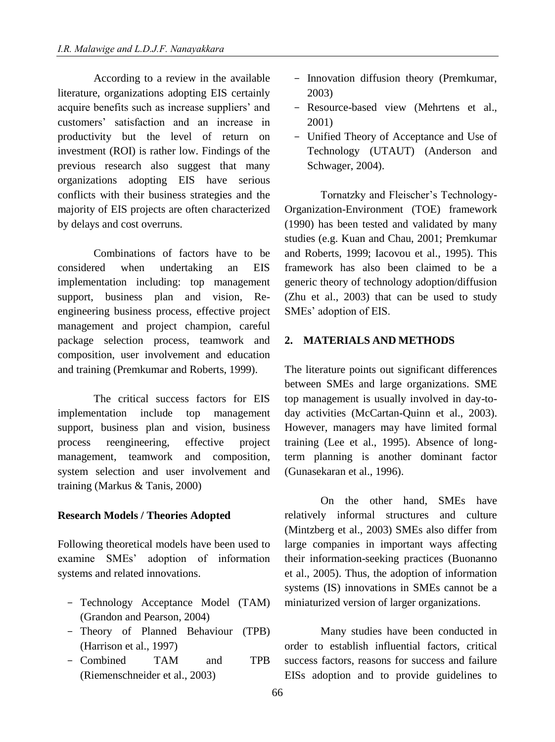According to a review in the available literature, organizations adopting EIS certainly acquire benefits such as increase suppliers" and customers" satisfaction and an increase in productivity but the level of return on investment (ROI) is rather low. Findings of the previous research also suggest that many organizations adopting EIS have serious conflicts with their business strategies and the majority of EIS projects are often characterized by delays and cost overruns.

Combinations of factors have to be considered when undertaking an EIS implementation including: top management support, business plan and vision, Reengineering business process, effective project management and project champion, careful package selection process, teamwork and composition, user involvement and education and training (Premkumar and Roberts, 1999).

The critical success factors for EIS implementation include top management support, business plan and vision, business process reengineering, effective project management, teamwork and composition, system selection and user involvement and training (Markus & Tanis, 2000)

## **Research Models / Theories Adopted**

Following theoretical models have been used to examine SMEs" adoption of information systems and related innovations.

- Technology Acceptance Model (TAM) (Grandon and Pearson, 2004)
- Theory of Planned Behaviour (TPB) (Harrison et al., 1997)
- Combined TAM and TPB (Riemenschneider et al., 2003)
- Innovation diffusion theory (Premkumar, 2003)
- Resource-based view (Mehrtens et al., 2001)
- Unified Theory of Acceptance and Use of Technology (UTAUT) (Anderson and Schwager, 2004).

Tornatzky and Fleischer"s Technology-Organization-Environment (TOE) framework (1990) has been tested and validated by many studies (e.g. Kuan and Chau, 2001; Premkumar and Roberts, 1999; Iacovou et al., 1995). This framework has also been claimed to be a generic theory of technology adoption/diffusion (Zhu et al., 2003) that can be used to study SMEs" adoption of EIS.

## **2. MATERIALS AND METHODS**

The literature points out significant differences between SMEs and large organizations. SME top management is usually involved in day-today activities (McCartan-Quinn et al., 2003). However, managers may have limited formal training (Lee et al., 1995). Absence of longterm planning is another dominant factor (Gunasekaran et al., 1996).

On the other hand, SMEs have relatively informal structures and culture (Mintzberg et al., 2003) SMEs also differ from large companies in important ways affecting their information-seeking practices (Buonanno et al., 2005). Thus, the adoption of information systems (IS) innovations in SMEs cannot be a miniaturized version of larger organizations.

Many studies have been conducted in order to establish influential factors, critical success factors, reasons for success and failure EISs adoption and to provide guidelines to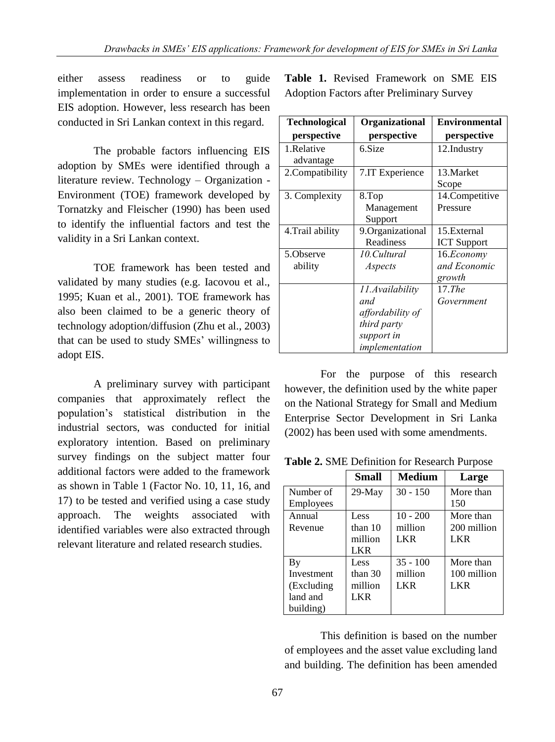either assess readiness or to guide implementation in order to ensure a successful EIS adoption. However, less research has been conducted in Sri Lankan context in this regard.

The probable factors influencing EIS adoption by SMEs were identified through a literature review. Technology – Organization - Environment (TOE) framework developed by Tornatzky and Fleischer (1990) has been used to identify the influential factors and test the validity in a Sri Lankan context.

TOE framework has been tested and validated by many studies (e.g. Iacovou et al., 1995; Kuan et al., 2001). TOE framework has also been claimed to be a generic theory of technology adoption/diffusion (Zhu et al., 2003) that can be used to study SMEs" willingness to adopt EIS.

A preliminary survey with participant companies that approximately reflect the population"s statistical distribution in the industrial sectors, was conducted for initial exploratory intention. Based on preliminary survey findings on the subject matter four additional factors were added to the framework as shown in Table 1 (Factor No. 10, 11, 16, and 17) to be tested and verified using a case study approach. The weights associated with identified variables were also extracted through relevant literature and related research studies.

**Table 1.** Revised Framework on SME EIS Adoption Factors after Preliminary Survey

| <b>Technological</b> | Organizational   | <b>Environmental</b> |
|----------------------|------------------|----------------------|
| perspective          | perspective      | perspective          |
| 1.Relative           | 6.Size           | 12.Industry          |
| advantage            |                  |                      |
| 2. Compatibility     | 7.IT Experience  | 13. Market           |
|                      |                  | Scope                |
| 3. Complexity        | 8.Top            | 14. Competitive      |
|                      | Management       | Pressure             |
|                      | Support          |                      |
| 4. Trail ability     | 9.Organizational | 15. External         |
|                      | Readiness        | <b>ICT</b> Support   |
| 5.Observe            | 10.Cultural      | 16.Economy           |
| ability              | Aspects          | and Economic         |
|                      |                  | growth               |
|                      | 11.Availability  | $17.$ The            |
|                      | and              | Government           |
|                      | affordability of |                      |
|                      | third party      |                      |
|                      | support in       |                      |
|                      | implementation   |                      |

For the purpose of this research however, the definition used by the white paper on the National Strategy for Small and Medium Enterprise Sector Development in Sri Lanka (2002) has been used with some amendments.

**Table 2.** SME Definition for Research Purpose

|             | <b>Small</b> | <b>Medium</b> | Large       |
|-------------|--------------|---------------|-------------|
| Number of   | $29$ -May    | $30 - 150$    | More than   |
| Employees   |              |               | 150         |
| Annual      | Less         | $10 - 200$    | More than   |
| Revenue     | than $10$    | million       | 200 million |
|             | million      | <b>LKR</b>    | <b>LKR</b>  |
|             | LKR.         |               |             |
| By          | Less         | $35 - 100$    | More than   |
| Investment  | than $30$    | million       | 100 million |
| (Excluding) | million      | <b>LKR</b>    | <b>LKR</b>  |
| land and    | LKR          |               |             |
| building)   |              |               |             |

This definition is based on the number of employees and the asset value excluding land and building. The definition has been amended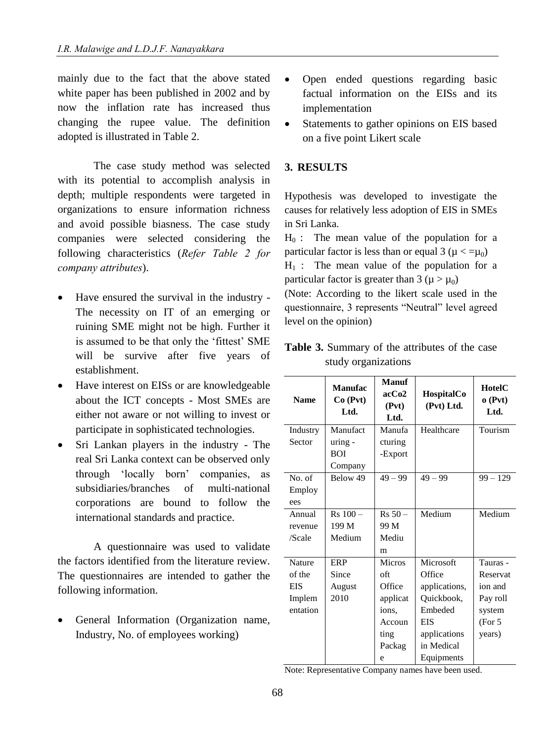mainly due to the fact that the above stated white paper has been published in 2002 and by now the inflation rate has increased thus changing the rupee value. The definition adopted is illustrated in Table 2.

The case study method was selected with its potential to accomplish analysis in depth; multiple respondents were targeted in organizations to ensure information richness and avoid possible biasness. The case study companies were selected considering the following characteristics (*Refer Table 2 for company attributes*).

- Have ensured the survival in the industry The necessity on IT of an emerging or ruining SME might not be high. Further it is assumed to be that only the 'fittest' SME will be survive after five years of establishment.
- Have interest on EISs or are knowledgeable about the ICT concepts - Most SMEs are either not aware or not willing to invest or participate in sophisticated technologies.
- Sri Lankan players in the industry The real Sri Lanka context can be observed only through "locally born" companies, as subsidiaries/branches of multi-national corporations are bound to follow the international standards and practice.

A questionnaire was used to validate the factors identified from the literature review. The questionnaires are intended to gather the following information.

 General Information (Organization name, Industry, No. of employees working)

- Open ended questions regarding basic factual information on the EISs and its implementation
- Statements to gather opinions on EIS based on a five point Likert scale

## **3. RESULTS**

Hypothesis was developed to investigate the causes for relatively less adoption of EIS in SMEs in Sri Lanka.

 $H_0$ : The mean value of the population for a particular factor is less than or equal 3 ( $\mu < =\mu_0$ )  $H_1$ : The mean value of the population for a particular factor is greater than  $3 (\mu > \mu_0)$ 

(Note: According to the likert scale used in the questionnaire, 3 represents "Neutral" level agreed level on the opinion)

| <b>Name</b>   | Manufac<br>Co(Pvt)<br>Ltd. | Manuf<br>acCo2<br>(Pvt)<br>Ltd. | HospitalCo<br>(Pvt) Ltd. | HotelC<br>o(Pvt)<br>Ltd. |
|---------------|----------------------------|---------------------------------|--------------------------|--------------------------|
| Industry      | Manufact                   | Manufa                          | Healthcare               | Tourism                  |
| Sector        | $uring -$                  | cturing                         |                          |                          |
|               | <b>BOI</b>                 | -Export                         |                          |                          |
|               | Company                    |                                 |                          |                          |
| No. of        | Below 49                   | $49 - 99$                       | $49 - 99$                | $99 - 129$               |
| Employ        |                            |                                 |                          |                          |
| ees           |                            |                                 |                          |                          |
| Annual        | $Rs 100 -$                 | $Rs 50 -$                       | Medium                   | Medium                   |
| revenue       | 199 M                      | 99 M                            |                          |                          |
| /Scale        | Medium                     | Mediu                           |                          |                          |
|               |                            | m                               |                          |                          |
| <b>Nature</b> | ERP                        | <b>Micros</b>                   | Microsoft                | Tauras -                 |
| of the        | Since                      | oft                             | Office                   | Reservat                 |
| <b>EIS</b>    | August                     | Office                          | applications,            | ion and                  |
| Implem        | 2010                       | applicat                        | Quickbook,               | Pay roll                 |
| entation      |                            | ions.                           | Embeded                  | system                   |
|               |                            | Accoun                          | EIS                      | (For 5)                  |
|               |                            | ting                            | applications             | years)                   |
|               |                            | Packag                          | in Medical               |                          |
|               |                            | e                               | Equipments               |                          |

**Table 3.** Summary of the attributes of the case study organizations

Note: Representative Company names have been used.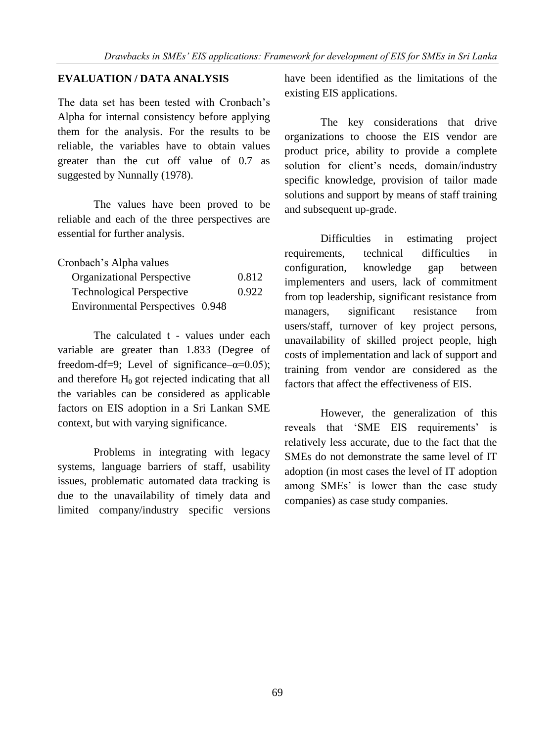# **EVALUATION / DATA ANALYSIS**

The data set has been tested with Cronbach's Alpha for internal consistency before applying them for the analysis. For the results to be reliable, the variables have to obtain values greater than the cut off value of 0.7 as suggested by Nunnally (1978).

The values have been proved to be reliable and each of the three perspectives are essential for further analysis.

| Cronbach's Alpha values          |       |
|----------------------------------|-------|
| Organizational Perspective       | 0.812 |
| <b>Technological Perspective</b> | 0.922 |
| Environmental Perspectives 0.948 |       |

The calculated t - values under each variable are greater than 1.833 (Degree of freedom-df=9; Level of significance– $\alpha$ =0.05); and therefore  $H_0$  got rejected indicating that all the variables can be considered as applicable factors on EIS adoption in a Sri Lankan SME context, but with varying significance.

Problems in integrating with legacy systems, language barriers of staff, usability issues, problematic automated data tracking is due to the unavailability of timely data and limited company/industry specific versions

have been identified as the limitations of the existing EIS applications.

The key considerations that drive organizations to choose the EIS vendor are product price, ability to provide a complete solution for client's needs, domain/industry specific knowledge, provision of tailor made solutions and support by means of staff training and subsequent up-grade.

Difficulties in estimating project requirements, technical difficulties in configuration, knowledge gap between implementers and users, lack of commitment from top leadership, significant resistance from managers, significant resistance from users/staff, turnover of key project persons, unavailability of skilled project people, high costs of implementation and lack of support and training from vendor are considered as the factors that affect the effectiveness of EIS.

However, the generalization of this reveals that 'SME EIS requirements' is relatively less accurate, due to the fact that the SMEs do not demonstrate the same level of IT adoption (in most cases the level of IT adoption among SMEs' is lower than the case study companies) as case study companies.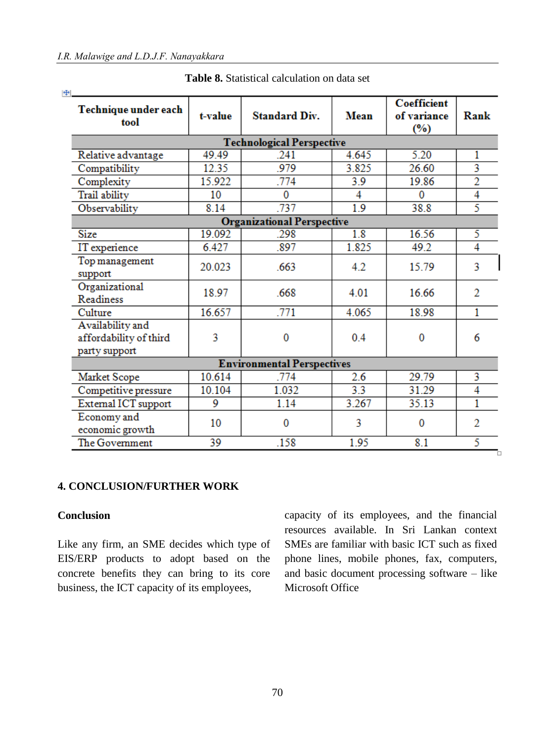| Technique under each<br>tool                                | t-value | <b>Standard Div.</b>              | Mean             | <b>Coefficient</b><br>of variance<br>$(\%)$ | Rank                    |
|-------------------------------------------------------------|---------|-----------------------------------|------------------|---------------------------------------------|-------------------------|
|                                                             |         | <b>Technological Perspective</b>  |                  |                                             |                         |
| Relative advantage                                          | 49.49   | .241                              | 4.645            | 5.20                                        | 1                       |
| Compatibility                                               | 12.35   | .979                              | 3.825            | 26.60                                       | $\overline{\mathbf{3}}$ |
| Complexity                                                  | 15.922  | .774                              | 3.9              | 19.86                                       | 2                       |
| Trail ability                                               | 10      | $\Omega$                          | 4                | $\Omega$                                    | 4                       |
| Observability                                               | 8.14    | .737                              | 1.9              | 38.8                                        | 5                       |
|                                                             |         | <b>Organizational Perspective</b> |                  |                                             |                         |
| <b>Size</b>                                                 | 19.092  | .298                              | $\overline{1.8}$ | 16.56                                       | 5                       |
| IT experience                                               | 6.427   | .897                              | 1.825            | 49.2                                        | $\overline{4}$          |
| Top management<br>support                                   | 20.023  | .663                              | 4.2              | 15.79                                       | 3                       |
| Organizational<br>Readiness                                 | 18.97   | .668                              | 4.01             | 16.66                                       | 2                       |
| Culture                                                     | 16.657  | .771                              | 4.065            | 18.98                                       | 1                       |
| Availability and<br>affordability of third<br>party support | 3       | 0                                 | 0.4              | 0                                           | 6                       |
|                                                             |         | <b>Environmental Perspectives</b> |                  |                                             |                         |
| Market Scope                                                | 10.614  | .774                              | 2.6              | 29.79                                       | 3                       |
| Competitive pressure                                        | 10.104  | 1.032                             | 3.3              | 31.29                                       | 4                       |
| External ICT support                                        | 9       | 1.14                              | 3.267            | 35.13                                       | $\overline{1}$          |
| Economy and<br>economic growth                              | 10      | 0                                 | 3                | $\Omega$                                    | 2                       |
| The Government                                              | 39      | .158                              | 1.95             | 8.1                                         | 5                       |

**Table 8.** Statistical calculation on data set

#### **4. CONCLUSION/FURTHER WORK**

# **Conclusion**

Like any firm, an SME decides which type of EIS/ERP products to adopt based on the concrete benefits they can bring to its core business, the ICT capacity of its employees,

capacity of its employees, and the financial resources available. In Sri Lankan context SMEs are familiar with basic ICT such as fixed phone lines, mobile phones, fax, computers, and basic document processing software – like Microsoft Office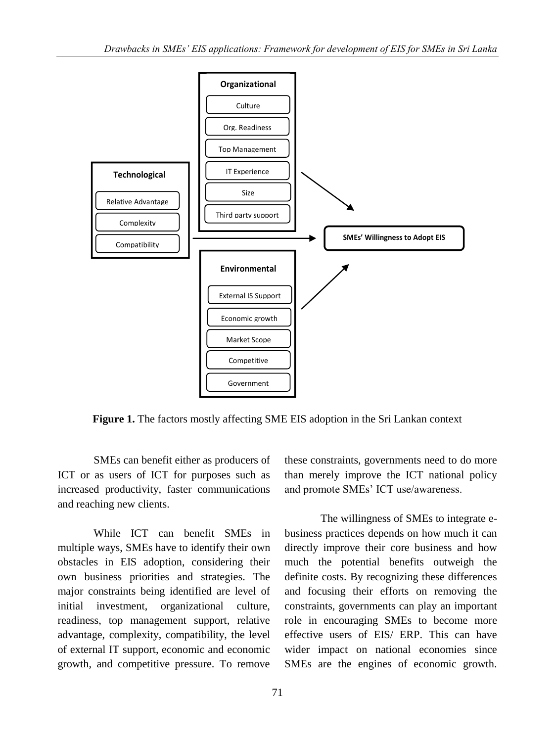

**Figure 1.** The factors mostly affecting SME EIS adoption in the Sri Lankan context

SMEs can benefit either as producers of ICT or as users of ICT for purposes such as increased productivity, faster communications and reaching new clients.

While ICT can benefit SMEs in multiple ways, SMEs have to identify their own obstacles in EIS adoption, considering their own business priorities and strategies. The major constraints being identified are level of initial investment, organizational culture, readiness, top management support, relative advantage, complexity, compatibility, the level of external IT support, economic and economic growth, and competitive pressure. To remove these constraints, governments need to do more than merely improve the ICT national policy and promote SMEs" ICT use/awareness.

The willingness of SMEs to integrate ebusiness practices depends on how much it can directly improve their core business and how much the potential benefits outweigh the definite costs. By recognizing these differences and focusing their efforts on removing the constraints, governments can play an important role in encouraging SMEs to become more effective users of EIS/ ERP. This can have wider impact on national economies since SMEs are the engines of economic growth.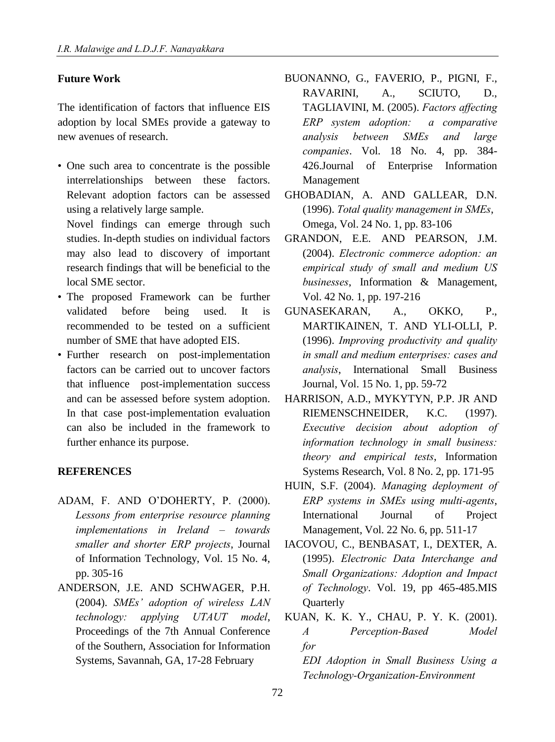## **Future Work**

The identification of factors that influence EIS adoption by local SMEs provide a gateway to new avenues of research.

• One such area to concentrate is the possible interrelationships between these factors. Relevant adoption factors can be assessed using a relatively large sample.

Novel findings can emerge through such studies. In-depth studies on individual factors may also lead to discovery of important research findings that will be beneficial to the local SME sector.

- The proposed Framework can be further validated before being used. It is recommended to be tested on a sufficient number of SME that have adopted EIS.
- Further research on post-implementation factors can be carried out to uncover factors that influence post-implementation success and can be assessed before system adoption. In that case post-implementation evaluation can also be included in the framework to further enhance its purpose.

#### **REFERENCES**

- ADAM, F. AND O"DOHERTY, P. (2000). *Lessons from enterprise resource planning implementations in Ireland – towards smaller and shorter ERP projects*, Journal of Information Technology, Vol. 15 No. 4, pp. 305-16
- ANDERSON, J.E. AND SCHWAGER, P.H. (2004). *SMEs' adoption of wireless LAN technology: applying UTAUT model*, Proceedings of the 7th Annual Conference of the Southern, Association for Information Systems, Savannah, GA, 17-28 February
- BUONANNO, G., FAVERIO, P., PIGNI, F., RAVARINI, A., SCIUTO, D., TAGLIAVINI, M. (2005). *Factors affecting ERP system adoption: a comparative analysis between SMEs and large companies*. Vol. 18 No. 4, pp. 384- 426.Journal of Enterprise Information Management
- GHOBADIAN, A. AND GALLEAR, D.N. (1996). *Total quality management in SMEs*, Omega, Vol. 24 No. 1, pp. 83-106
- GRANDON, E.E. AND PEARSON, J.M. (2004). *Electronic commerce adoption: an empirical study of small and medium US businesses*, Information & Management, Vol. 42 No. 1, pp. 197-216
- GUNASEKARAN, A., OKKO, P., MARTIKAINEN, T. AND YLI-OLLI, P. (1996). *Improving productivity and quality in small and medium enterprises: cases and analysis*, International Small Business Journal, Vol. 15 No. 1, pp. 59-72
- HARRISON, A.D., MYKYTYN, P.P. JR AND RIEMENSCHNEIDER, K.C. (1997). *Executive decision about adoption of information technology in small business: theory and empirical tests*, Information Systems Research, Vol. 8 No. 2, pp. 171-95
- HUIN, S.F. (2004). *Managing deployment of ERP systems in SMEs using multi-agents*, International Journal of Project Management, Vol. 22 No. 6, pp. 511-17
- IACOVOU, C., BENBASAT, I., DEXTER, A. (1995). *Electronic Data Interchange and Small Organizations: Adoption and Impact of Technology*. Vol. 19, pp 465-485.MIS **Ouarterly**
- KUAN, K. K. Y., CHAU, P. Y. K. (2001). *A Perception-Based Model for EDI Adoption in Small Business Using a Technology-Organization-Environment*